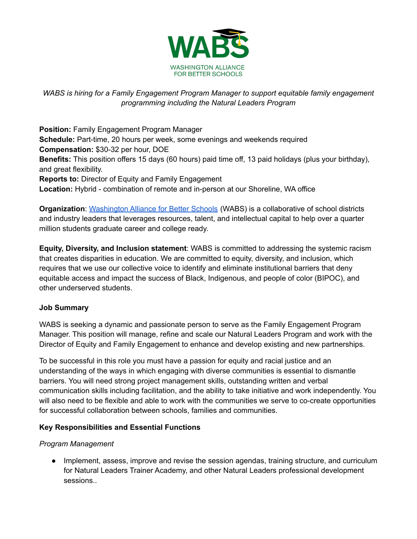

# *WABS is hiring for a Family Engagement Program Manager to support equitable family engagement programming including the Natural Leaders Program*

**Position:** Family Engagement Program Manager **Schedule:** Part-time, 20 hours per week, some evenings and weekends required **Compensation:** \$30-32 per hour, DOE **Benefits:** This position offers 15 days (60 hours) paid time off, 13 paid holidays (plus your birthday), and great flexibility. **Reports to:** Director of Equity and Family Engagement **Location:** Hybrid - combination of remote and in-person at our Shoreline, WA office

**Organization**: [Washington](http://www.wabsalliance.org) Alliance for Better Schools (WABS) is a collaborative of school districts and industry leaders that leverages resources, talent, and intellectual capital to help over a quarter million students graduate career and college ready.

**Equity, Diversity, and Inclusion statement**: WABS is committed to addressing the systemic racism that creates disparities in education. We are committed to equity, diversity, and inclusion, which requires that we use our collective voice to identify and eliminate institutional barriers that deny equitable access and impact the success of Black, Indigenous, and people of color (BIPOC), and other underserved students.

### **Job Summary**

WABS is seeking a dynamic and passionate person to serve as the Family Engagement Program Manager. This position will manage, refine and scale our Natural Leaders Program and work with the Director of Equity and Family Engagement to enhance and develop existing and new partnerships.

To be successful in this role you must have a passion for equity and racial justice and an understanding of the ways in which engaging with diverse communities is essential to dismantle barriers. You will need strong project management skills, outstanding written and verbal communication skills including facilitation, and the ability to take initiative and work independently. You will also need to be flexible and able to work with the communities we serve to co-create opportunities for successful collaboration between schools, families and communities.

### **Key Responsibilities and Essential Functions**

### *Program Management*

• Implement, assess, improve and revise the session agendas, training structure, and curriculum for Natural Leaders Trainer Academy, and other Natural Leaders professional development sessions..